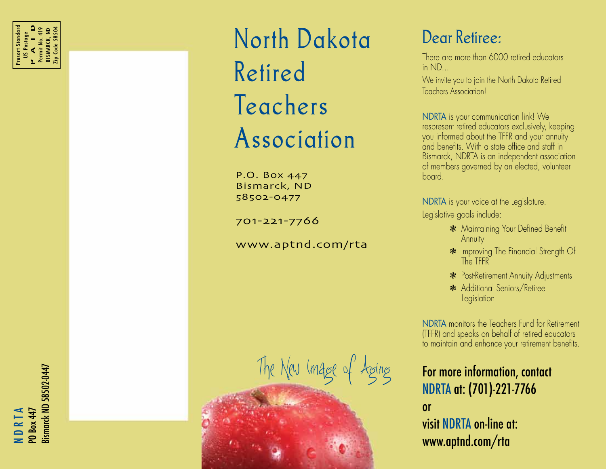North Dakota Retired Teachers Association

P.O. Box 447 Bismarck, ND 58502-0477

701-221-7766

www.aptnd.com/rta

The New Image of Aging

### Dear Retiree:

There are more than 6000 retired educators in ND...

We invite you to join the North Dakota Retired Teachers Association!

NDRTA is your communication link! We respresent retired educators exclusively, keeping you informed about the TFFR and your annuity and benefits. With a state office and staff in Bismarck, NDRTA is an independent association of members governed by an elected, volunteer board.

NDRTA is your voice at the Legislature. Legislative goals include:

- \* Maintaining Your Defined Benefit Annuity
- \* Improving The Financial Strength Of The TFFR
- **\*** Post-Retirement Annuity Adjustments
- \* Additional Seniors/Retiree **Legislation**

NDRTA monitors the Teachers Fund for Retirement (TFFR) and speaks on behalf of retired educators to maintain and enhance your retirement benefits.

### For more information, contact NDRTA at: (701)-221-7766 or

visit NDRTA on-line at: www.aptnd.com/rta

3ismarck ND 58502-0447 Bismarck ND 58502-0447 N D R T A **Box 447**